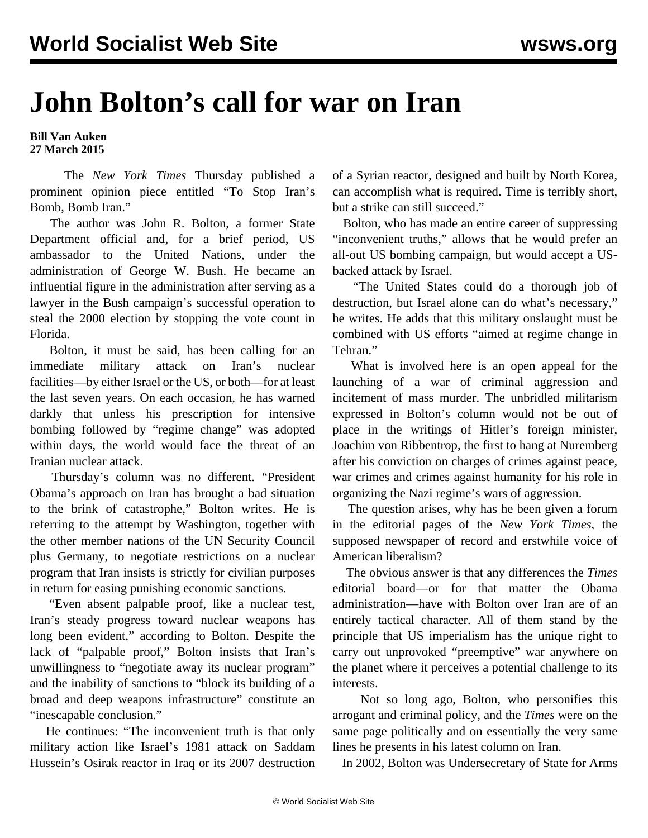## **John Bolton's call for war on Iran**

## **Bill Van Auken 27 March 2015**

 The *New York Times* Thursday published a prominent opinion piece entitled "To Stop Iran's Bomb, Bomb Iran."

 The author was John R. Bolton, a former State Department official and, for a brief period, US ambassador to the United Nations, under the administration of George W. Bush. He became an influential figure in the administration after serving as a lawyer in the Bush campaign's successful operation to steal the 2000 election by stopping the vote count in Florida.

 Bolton, it must be said, has been calling for an immediate military attack on Iran's nuclear facilities—by either Israel or the US, or both—for at least the last seven years. On each occasion, he has warned darkly that unless his prescription for intensive bombing followed by "regime change" was adopted within days, the world would face the threat of an Iranian nuclear attack.

 Thursday's column was no different. "President Obama's approach on Iran has brought a bad situation to the brink of catastrophe," Bolton writes. He is referring to the attempt by Washington, together with the other member nations of the UN Security Council plus Germany, to negotiate restrictions on a nuclear program that Iran insists is strictly for civilian purposes in return for easing punishing economic sanctions.

 "Even absent palpable proof, like a nuclear test, Iran's steady progress toward nuclear weapons has long been evident," according to Bolton. Despite the lack of "palpable proof," Bolton insists that Iran's unwillingness to "negotiate away its nuclear program" and the inability of sanctions to "block its building of a broad and deep weapons infrastructure" constitute an "inescapable conclusion."

 He continues: "The inconvenient truth is that only military action like Israel's 1981 attack on Saddam Hussein's Osirak reactor in Iraq or its 2007 destruction of a Syrian reactor, designed and built by North Korea, can accomplish what is required. Time is terribly short, but a strike can still succeed."

 Bolton, who has made an entire career of suppressing "inconvenient truths," allows that he would prefer an all-out US bombing campaign, but would accept a USbacked attack by Israel.

 "The United States could do a thorough job of destruction, but Israel alone can do what's necessary," he writes. He adds that this military onslaught must be combined with US efforts "aimed at regime change in Tehran."

 What is involved here is an open appeal for the launching of a war of criminal aggression and incitement of mass murder. The unbridled militarism expressed in Bolton's column would not be out of place in the writings of Hitler's foreign minister, Joachim von Ribbentrop, the first to hang at Nuremberg after his conviction on charges of crimes against peace, war crimes and crimes against humanity for his role in organizing the Nazi regime's wars of aggression.

 The question arises, why has he been given a forum in the editorial pages of the *New York Times*, the supposed newspaper of record and erstwhile voice of American liberalism?

 The obvious answer is that any differences the *Times* editorial board—or for that matter the Obama administration—have with Bolton over Iran are of an entirely tactical character. All of them stand by the principle that US imperialism has the unique right to carry out unprovoked "preemptive" war anywhere on the planet where it perceives a potential challenge to its interests.

 Not so long ago, Bolton, who personifies this arrogant and criminal policy, and the *Times* were on the same page politically and on essentially the very same lines he presents in his latest column on Iran.

In 2002, Bolton was Undersecretary of State for Arms